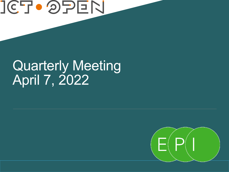# **JCTO OPEN**

## Quarterly Meeting April 7, 2022

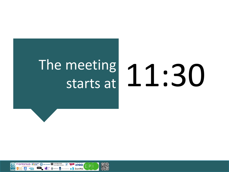# The meeting

# meeting 11:30<br>starts at 11:30

 $\rightarrow$  2 ZonMw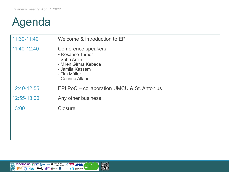### Agenda

| 11:30-11:40 | Welcome & introduction to EPI                                                                                                            |
|-------------|------------------------------------------------------------------------------------------------------------------------------------------|
| 11:40-12:40 | Conference speakers:<br>- Rosanne Turner<br>- Saba Amiri<br>- Milen Girma Kebede<br>- Jamila Kassem<br>- Tim Müller<br>- Corinne Allaart |
| 12:40-12:55 | EPI PoC – collaboration UMCU & St. Antonius                                                                                              |
| 12:55-13:00 | Any other business                                                                                                                       |
| 13:00       | Closure                                                                                                                                  |
|             |                                                                                                                                          |
|             |                                                                                                                                          |
|             |                                                                                                                                          |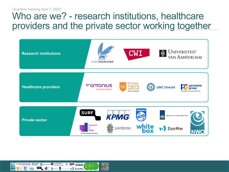### Who are we? - research institutions, healthcare providers and the private sector working together



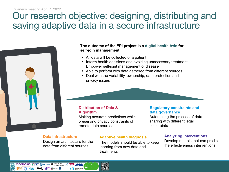#### Quarterly meeting April 7, 2022

### Our research objective: designing, distributing and saving adaptive data in a secure infrastructure



#### **The outcome of the EPI project is a digital health twin for self-join management**

- All data will be collected of a patient
- Inform health decisions and avoiding unnecessary treatment Empower self/joint management of disease
- Able to perform with data gathered from different sources
- Deal with the variability, ownership, data protection and privacy issues

#### **Distribution of Data & Algorithm**

Making accurate predictions while preserving privacy constraints of remote data sources

#### **Regulatory constraints and data governance**

Automating the process of data sharing with different legal constraints

#### **Data infrastructure**

Design an architecture for the data from different sources

#### **Adaptive health diagnosis**

The models should be able to keep learning from new data and treatments

#### **Analyzing interventions**

Develop models that can predict the effectiveness interventions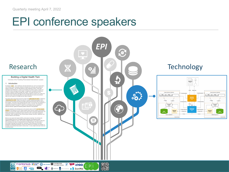### EPI conference speakers

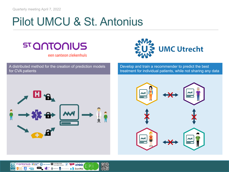### Pilot UMCU & St. Antonius



een santeon ziekenhuis

A distributed method for the creation of prediction models for CVA patients



Develop and train a recommender to predict the best treatment for individual patients, while not sharing any data



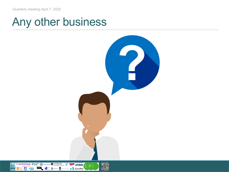**ST QOTOONUS PO PROTECTED AND AND THE CONTREST TELEVISION CONTRESTENT** 

**SURF** 

 $\circledcirc$ 

**NWC** 

5 white

### Any other business

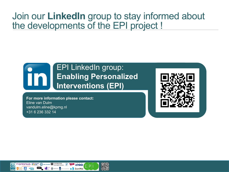### Join our **LinkedIn** group to stay informed about the developments of the EPI project !

### EPI LinkedIn group: **Enabling Personalized Interventions (EPI)**

**For more information please contact:** Eline van Dulm vandulm.eline@kpmg.nl +31 6 236 332 14